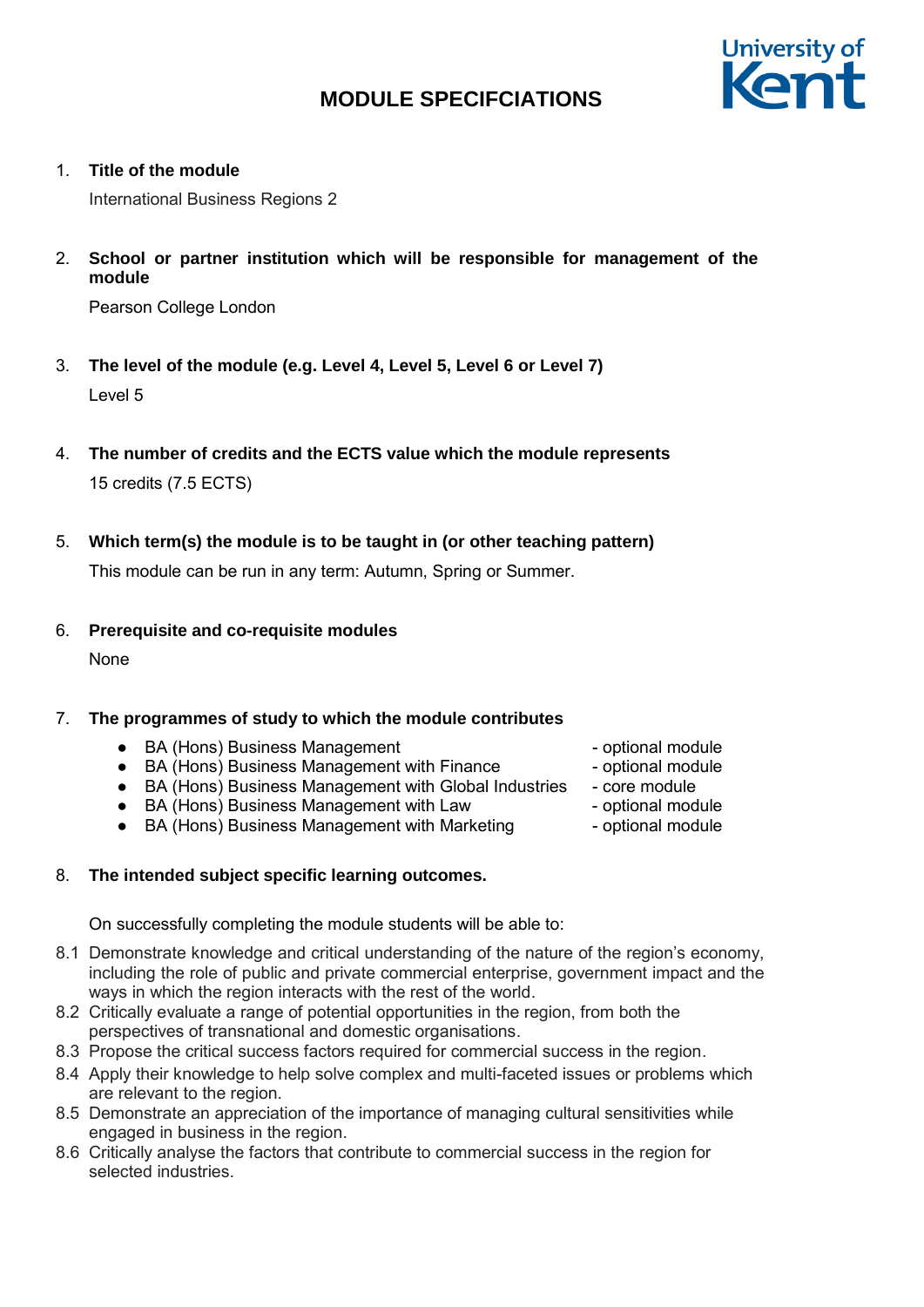

1. **Title of the module**

International Business Regions 2

2. **School or partner institution which will be responsible for management of the module**

Pearson College London

- 3. **The level of the module (e.g. Level 4, Level 5, Level 6 or Level 7)** Level 5
- 4. **The number of credits and the ECTS value which the module represents** 15 credits (7.5 ECTS)
- 5. **Which term(s) the module is to be taught in (or other teaching pattern)**

This module can be run in any term: Autumn, Spring or Summer.

6. **Prerequisite and co-requisite modules**

None

# 7. **The programmes of study to which the module contributes**

- BA (Hons) Business Management → → optional module
- BA (Hons) Business Management with Finance optional module
- BA (Hons) Business Management with Global Industries core module
- BA (Hons) Business Management with Law optional module
- BA (Hons) Business Management with Marketing optional module

# 8. **The intended subject specific learning outcomes.**

On successfully completing the module students will be able to:

- 8.1 Demonstrate knowledge and critical understanding of the nature of the region's economy, including the role of public and private commercial enterprise, government impact and the ways in which the region interacts with the rest of the world.
- 8.2 Critically evaluate a range of potential opportunities in the region, from both the perspectives of transnational and domestic organisations.
- 8.3 Propose the critical success factors required for commercial success in the region.
- 8.4 Apply their knowledge to help solve complex and multi-faceted issues or problems which are relevant to the region.
- 8.5 Demonstrate an appreciation of the importance of managing cultural sensitivities while engaged in business in the region.
- 8.6 Critically analyse the factors that contribute to commercial success in the region for selected industries.
- 
- 
- 
- 
-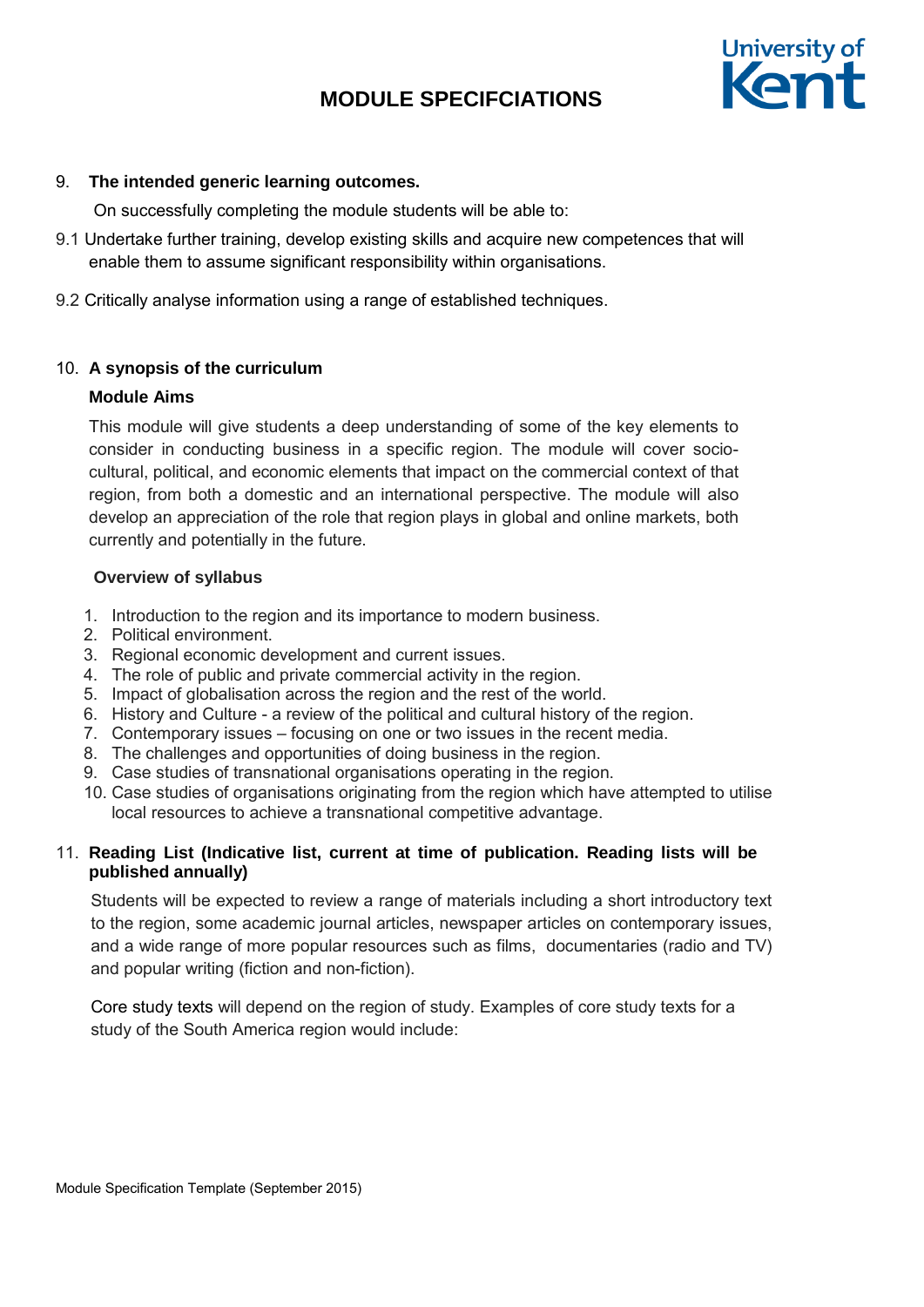

## 9. **The intended generic learning outcomes.**

On successfully completing the module students will be able to:

- 9.1 Undertake further training, develop existing skills and acquire new competences that will enable them to assume significant responsibility within organisations.
- 9.2 Critically analyse information using a range of established techniques.

## 10. **A synopsis of the curriculum**

## **Module Aims**

This module will give students a deep understanding of some of the key elements to consider in conducting business in a specific region. The module will cover sociocultural, political, and economic elements that impact on the commercial context of that region, from both a domestic and an international perspective. The module will also develop an appreciation of the role that region plays in global and online markets, both currently and potentially in the future.

## **Overview of syllabus**

- 1. Introduction to the region and its importance to modern business.
- 2. Political environment.
- 3. Regional economic development and current issues.
- 4. The role of public and private commercial activity in the region.
- 5. Impact of globalisation across the region and the rest of the world.
- 6. History and Culture a review of the political and cultural history of the region.
- 7. Contemporary issues focusing on one or two issues in the recent media.
- 8. The challenges and opportunities of doing business in the region.
- 9. Case studies of transnational organisations operating in the region.
- 10. Case studies of organisations originating from the region which have attempted to utilise local resources to achieve a transnational competitive advantage.

# 11. **Reading List (Indicative list, current at time of publication. Reading lists will be published annually)**

Students will be expected to review a range of materials including a short introductory text to the region, some academic journal articles, newspaper articles on contemporary issues, and a wide range of more popular resources such as films, documentaries (radio and TV) and popular writing (fiction and non-fiction).

Core study texts will depend on the region of study. Examples of core study texts for a study of the South America region would include: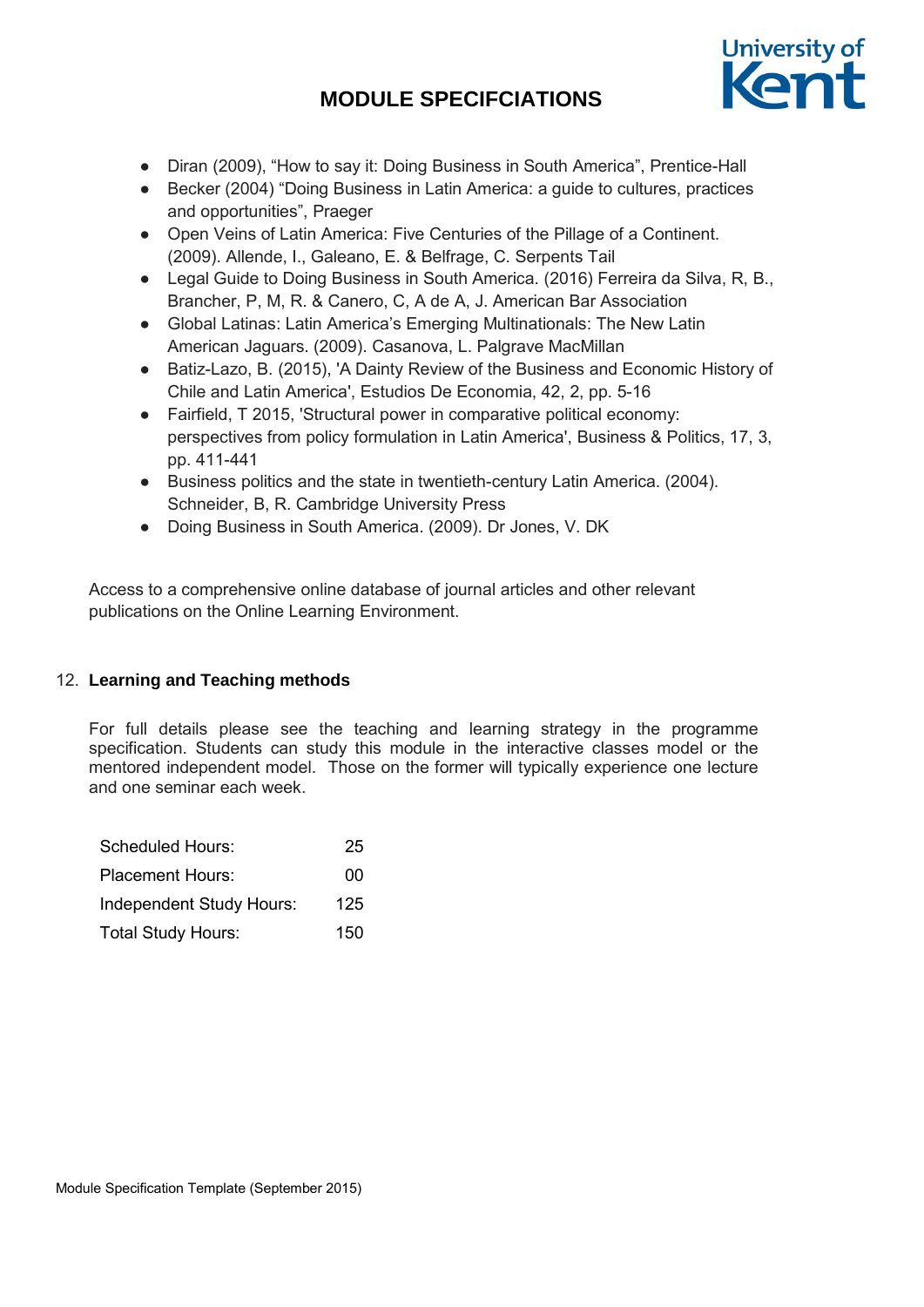

- Diran (2009), "How to say it: Doing Business in South America", Prentice-Hall
- Becker (2004) "Doing Business in Latin America: a guide to cultures, practices and opportunities", Praeger
- Open Veins of Latin America: Five Centuries of the Pillage of a Continent. (2009). Allende, I., Galeano, E. & Belfrage, C. Serpents Tail
- Legal Guide to Doing Business in South America. (2016) Ferreira da Silva, R, B., Brancher, P, M, R. & Canero, C, A de A, J. American Bar Association
- Global Latinas: Latin America's Emerging Multinationals: The New Latin American Jaguars. (2009). Casanova, L. Palgrave MacMillan
- Batiz-Lazo, B. (2015), 'A Dainty Review of the Business and Economic History of Chile and Latin America', Estudios De Economia, 42, 2, pp. 5-16
- Fairfield, T 2015, 'Structural power in comparative political economy: perspectives from policy formulation in Latin America', Business & Politics, 17, 3, pp. 411-441
- Business politics and the state in twentieth-century Latin America. (2004). Schneider, B, R. Cambridge University Press
- Doing Business in South America. (2009). Dr Jones, V. DK

Access to a comprehensive online database of journal articles and other relevant publications on the Online Learning Environment.

# 12. **Learning and Teaching methods**

For full details please see the teaching and learning strategy in the programme specification. Students can study this module in the interactive classes model or the mentored independent model. Those on the former will typically experience one lecture and one seminar each week.

| Scheduled Hours:          | 25  |
|---------------------------|-----|
| <b>Placement Hours:</b>   | 00  |
| Independent Study Hours:  | 125 |
| <b>Total Study Hours:</b> | 150 |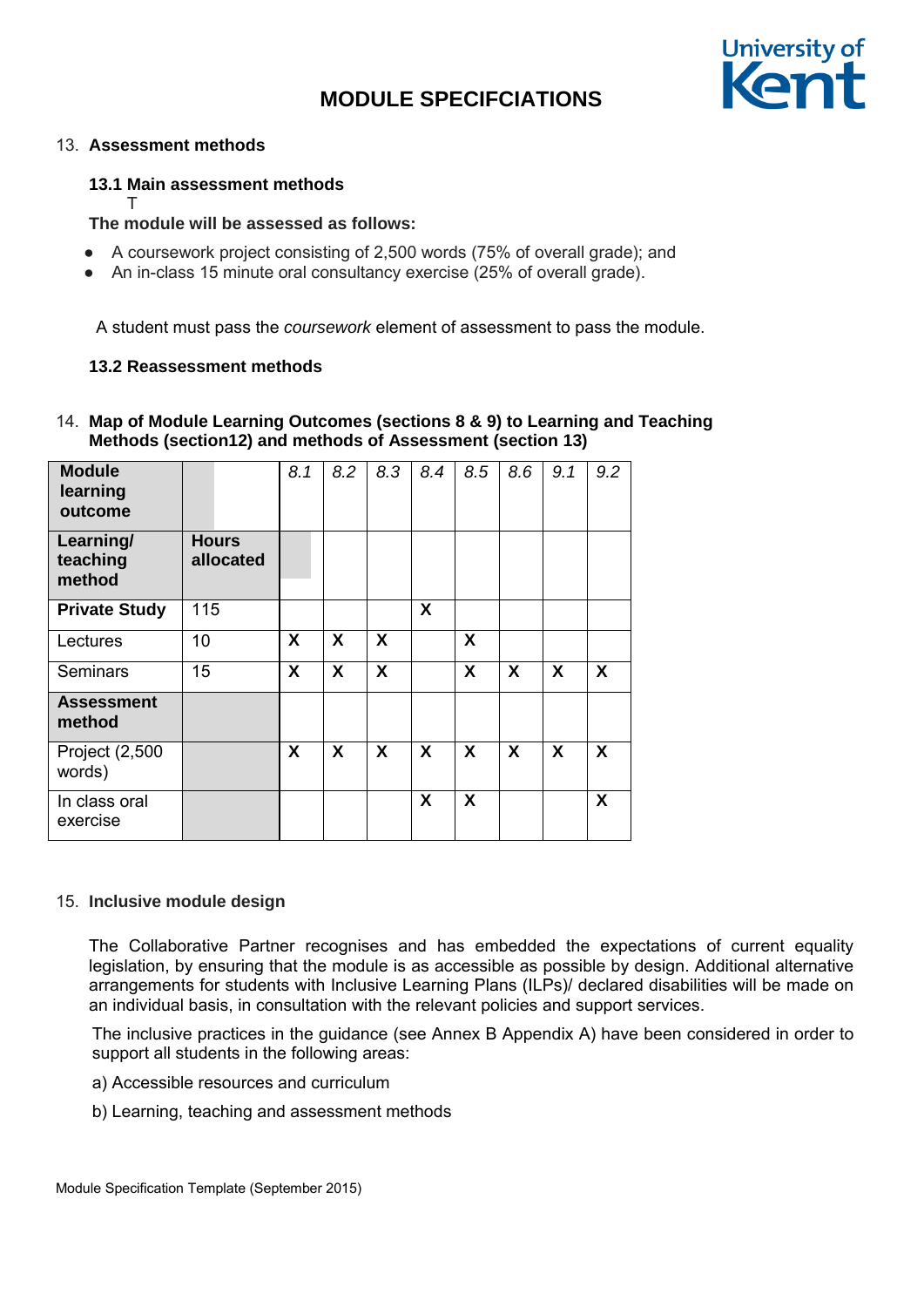

#### 13. **Assessment methods**

# **13.1 Main assessment methods**

T

# **The module will be assessed as follows:**

- A coursework project consisting of 2,500 words (75% of overall grade); and
- An in-class 15 minute oral consultancy exercise (25% of overall grade).

A student must pass the *coursework* element of assessment to pass the module.

## **13.2 Reassessment methods**

# 14. **Map of Module Learning Outcomes (sections 8 & 9) to Learning and Teaching Methods (section12) and methods of Assessment (section 13)**

| <b>Module</b><br>learning<br>outcome |                           | 8.1 | 8.2                       | 8.3                       | 8.4 | 8.5 | 8.6                       | 9.1                       | 9.2                       |
|--------------------------------------|---------------------------|-----|---------------------------|---------------------------|-----|-----|---------------------------|---------------------------|---------------------------|
| Learning/<br>teaching<br>method      | <b>Hours</b><br>allocated |     |                           |                           |     |     |                           |                           |                           |
| <b>Private Study</b>                 | 115                       |     |                           |                           | X   |     |                           |                           |                           |
| Lectures                             | 10                        | X   | $\boldsymbol{\mathsf{X}}$ | $\boldsymbol{\mathsf{X}}$ |     | X   |                           |                           |                           |
| <b>Seminars</b>                      | 15                        | X   | X                         | X                         |     | X   | $\boldsymbol{\mathsf{X}}$ | $\boldsymbol{\mathsf{X}}$ | $\boldsymbol{X}$          |
| <b>Assessment</b><br>method          |                           |     |                           |                           |     |     |                           |                           |                           |
| Project (2,500<br>words)             |                           | X   | X                         | X                         | X   | X   | X                         | $\boldsymbol{X}$          | $\boldsymbol{X}$          |
| In class oral<br>exercise            |                           |     |                           |                           | X   | X   |                           |                           | $\boldsymbol{\mathsf{X}}$ |

#### 15. **Inclusive module design**

The Collaborative Partner recognises and has embedded the expectations of current equality legislation, by ensuring that the module is as accessible as possible by design. Additional alternative arrangements for students with Inclusive Learning Plans (ILPs)/ declared disabilities will be made on an individual basis, in consultation with the relevant policies and support services.

The inclusive practices in the guidance (see Annex B Appendix A) have been considered in order to support all students in the following areas:

- a) Accessible resources and curriculum
- b) Learning, teaching and assessment methods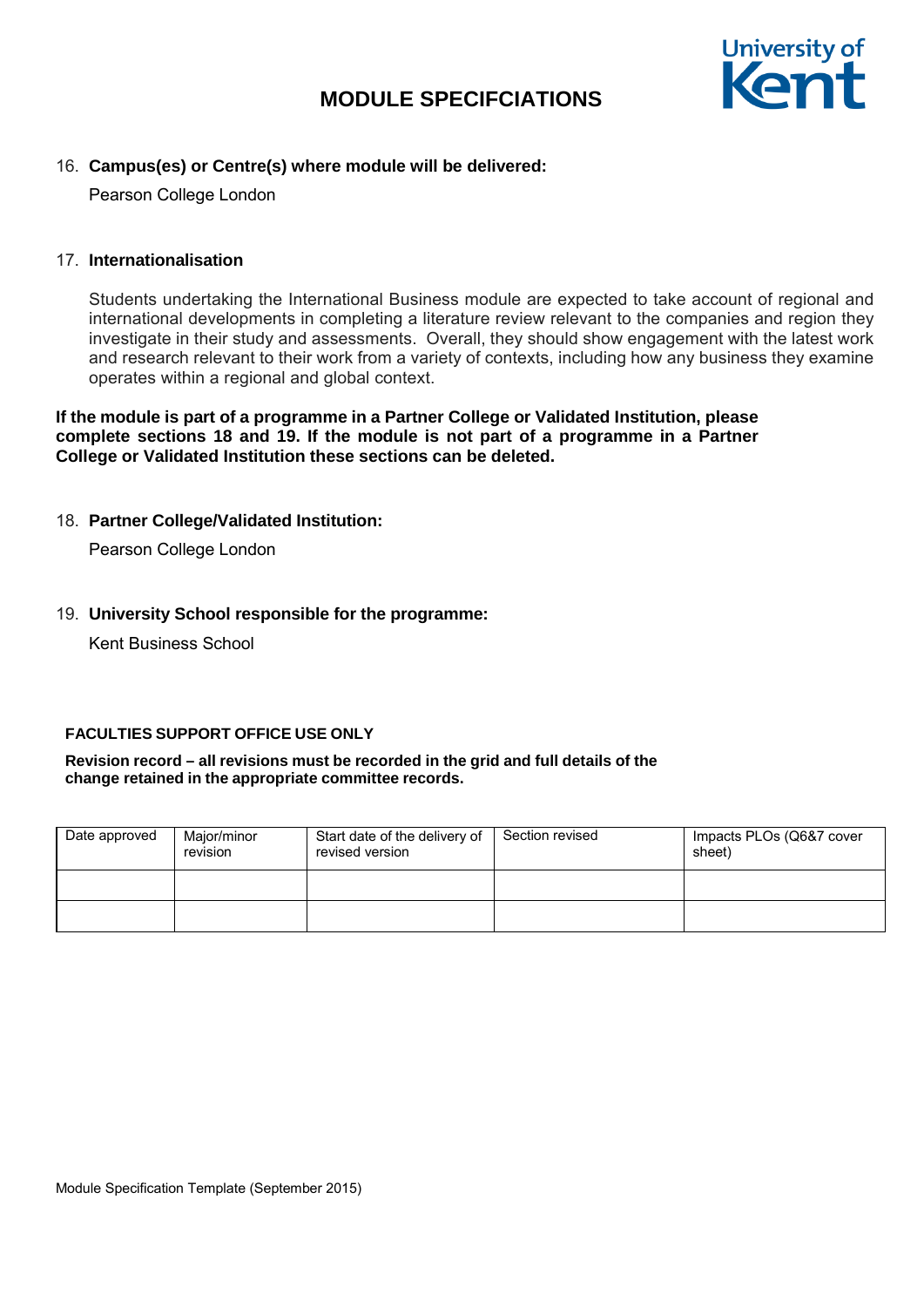

## 16. **Campus(es) or Centre(s) where module will be delivered:**

Pearson College London

#### 17. **Internationalisation**

Students undertaking the International Business module are expected to take account of regional and international developments in completing a literature review relevant to the companies and region they investigate in their study and assessments. Overall, they should show engagement with the latest work and research relevant to their work from a variety of contexts, including how any business they examine operates within a regional and global context.

**If the module is part of a programme in a Partner College or Validated Institution, please complete sections 18 and 19. If the module is not part of a programme in a Partner College or Validated Institution these sections can be deleted.** 

# 18. **Partner College/Validated Institution:**

Pearson College London

## 19. **University School responsible for the programme:**

Kent Business School

#### **FACULTIES SUPPORT OFFICE USE ONLY**

#### **Revision record – all revisions must be recorded in the grid and full details of the change retained in the appropriate committee records.**

| Date approved | Major/minor<br>revision | Start date of the delivery of<br>revised version | Section revised | Impacts PLOs (Q6&7 cover<br>sheet) |
|---------------|-------------------------|--------------------------------------------------|-----------------|------------------------------------|
|               |                         |                                                  |                 |                                    |
|               |                         |                                                  |                 |                                    |